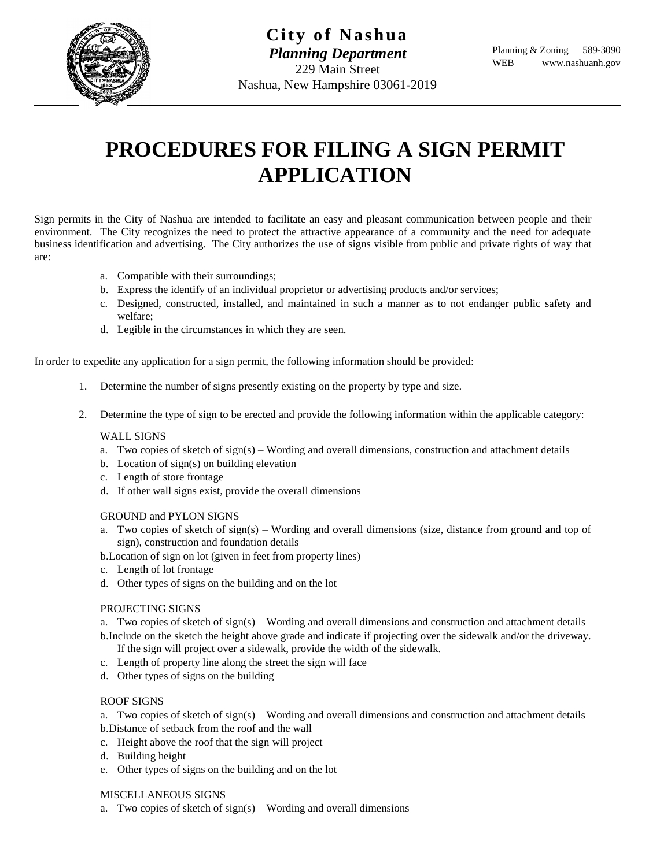

# **PROCEDURES FOR FILING A SIGN PERMIT APPLICATION**

Sign permits in the City of Nashua are intended to facilitate an easy and pleasant communication between people and their environment. The City recognizes the need to protect the attractive appearance of a community and the need for adequate business identification and advertising. The City authorizes the use of signs visible from public and private rights of way that are:

- a. Compatible with their surroundings;
- b. Express the identify of an individual proprietor or advertising products and/or services;
- c. Designed, constructed, installed, and maintained in such a manner as to not endanger public safety and welfare;
- d. Legible in the circumstances in which they are seen.

In order to expedite any application for a sign permit, the following information should be provided:

- 1. Determine the number of signs presently existing on the property by type and size.
- 2. Determine the type of sign to be erected and provide the following information within the applicable category:

### WALL SIGNS

- a. Two copies of sketch of sign(s) Wording and overall dimensions, construction and attachment details
- b. Location of sign(s) on building elevation
- c. Length of store frontage
- d. If other wall signs exist, provide the overall dimensions

#### GROUND and PYLON SIGNS

- a. Two copies of sketch of sign(s) Wording and overall dimensions (size, distance from ground and top of sign), construction and foundation details
- b.Location of sign on lot (given in feet from property lines)
- c. Length of lot frontage
- d. Other types of signs on the building and on the lot

## PROJECTING SIGNS

a. Two copies of sketch of sign(s) – Wording and overall dimensions and construction and attachment details

b.Include on the sketch the height above grade and indicate if projecting over the sidewalk and/or the driveway. If the sign will project over a sidewalk, provide the width of the sidewalk.

- c. Length of property line along the street the sign will face
- d. Other types of signs on the building

## ROOF SIGNS

a. Two copies of sketch of sign(s) – Wording and overall dimensions and construction and attachment details b.Distance of setback from the roof and the wall

- c. Height above the roof that the sign will project
- d. Building height
- e. Other types of signs on the building and on the lot

#### MISCELLANEOUS SIGNS

a. Two copies of sketch of  $sign(s)$  – Wording and overall dimensions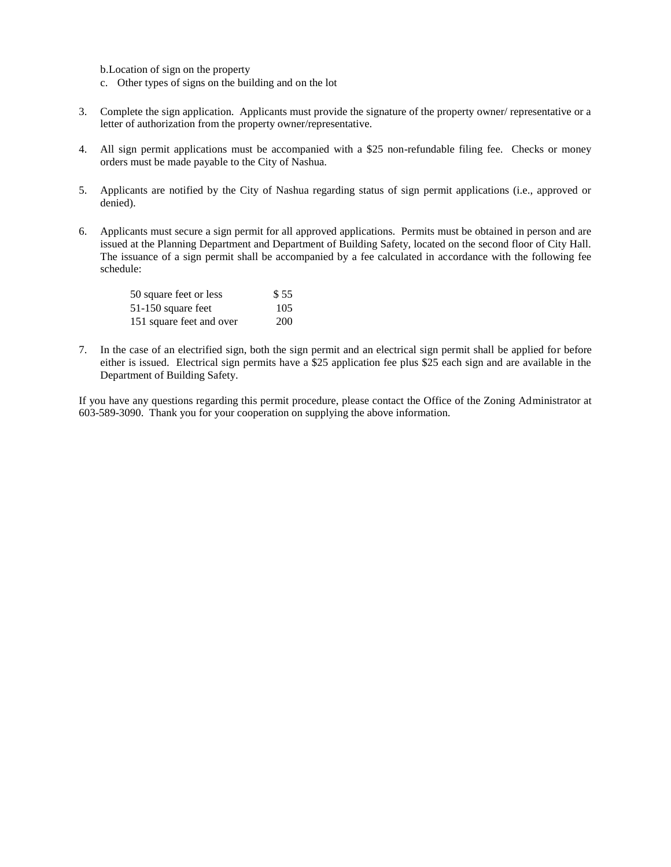b.Location of sign on the property

- c. Other types of signs on the building and on the lot
- 3. Complete the sign application. Applicants must provide the signature of the property owner/ representative or a letter of authorization from the property owner/representative.
- 4. All sign permit applications must be accompanied with a \$25 non-refundable filing fee. Checks or money orders must be made payable to the City of Nashua.
- 5. Applicants are notified by the City of Nashua regarding status of sign permit applications (i.e., approved or denied).
- 6. Applicants must secure a sign permit for all approved applications. Permits must be obtained in person and are issued at the Planning Department and Department of Building Safety, located on the second floor of City Hall. The issuance of a sign permit shall be accompanied by a fee calculated in accordance with the following fee schedule:

| 50 square feet or less   | \$55 |
|--------------------------|------|
| 51-150 square feet       | 105  |
| 151 square feet and over | 200  |

7. In the case of an electrified sign, both the sign permit and an electrical sign permit shall be applied for before either is issued. Electrical sign permits have a \$25 application fee plus \$25 each sign and are available in the Department of Building Safety.

If you have any questions regarding this permit procedure, please contact the Office of the Zoning Administrator at 603-589-3090. Thank you for your cooperation on supplying the above information.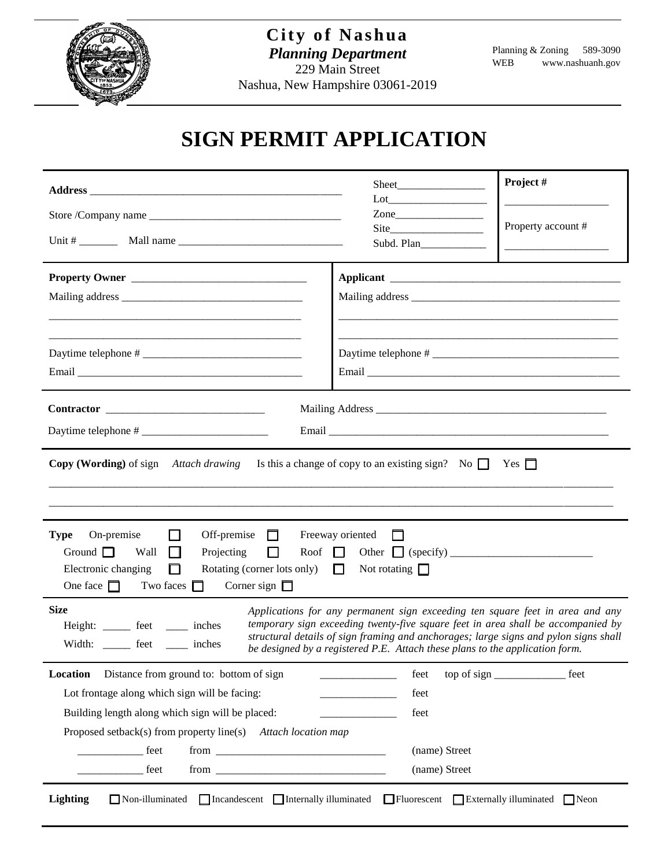

## **SIGN PERMIT APPLICATION**

|                                                                                                                                                                                                           |  | Project #<br>Sheet                        |      |  |
|-----------------------------------------------------------------------------------------------------------------------------------------------------------------------------------------------------------|--|-------------------------------------------|------|--|
|                                                                                                                                                                                                           |  | $\text{Zone}$                             |      |  |
|                                                                                                                                                                                                           |  | Property account #<br>Subd. Plan          |      |  |
| Property Owner                                                                                                                                                                                            |  |                                           |      |  |
|                                                                                                                                                                                                           |  |                                           |      |  |
|                                                                                                                                                                                                           |  |                                           |      |  |
|                                                                                                                                                                                                           |  |                                           |      |  |
|                                                                                                                                                                                                           |  |                                           |      |  |
|                                                                                                                                                                                                           |  |                                           |      |  |
| $\begin{array}{c} \textbf{Contractor} \end{array}$                                                                                                                                                        |  |                                           |      |  |
|                                                                                                                                                                                                           |  |                                           |      |  |
| <b>Copy (Wording)</b> of sign Attach drawing Is this a change of copy to an existing sign? No $\Box$ Yes $\Box$                                                                                           |  |                                           |      |  |
|                                                                                                                                                                                                           |  |                                           |      |  |
|                                                                                                                                                                                                           |  |                                           |      |  |
| Off-premise $\Box$<br><b>Type</b> On-premise<br>Freeway oriented<br>$\mathbf{L}$<br>$\perp$                                                                                                               |  |                                           |      |  |
| Ground $\Box$ Wall<br>$\Box$<br>Projecting<br>$\mathsf{L}$                                                                                                                                                |  |                                           |      |  |
| Electronic changing<br>Rotating (corner lots only) $\Box$ Not rotating $\Box$<br>ш<br>One face $\Box$ Two faces $\Box$<br>Corner sign $\Box$                                                              |  |                                           |      |  |
| <b>Size</b>                                                                                                                                                                                               |  |                                           |      |  |
| Applications for any permanent sign exceeding ten square feet in area and any<br>temporary sign exceeding twenty-five square feet in area shall be accompanied by<br>Height: _______ feet ______ inches   |  |                                           |      |  |
| structural details of sign framing and anchorages; large signs and pylon signs shall<br>Width: _______ feet ______ inches<br>be designed by a registered P.E. Attach these plans to the application form. |  |                                           |      |  |
| Location<br>Distance from ground to: bottom of sign                                                                                                                                                       |  | feet<br>the control of the control of the | feet |  |
| Lot frontage along which sign will be facing:                                                                                                                                                             |  | feet                                      |      |  |
| Building length along which sign will be placed:                                                                                                                                                          |  | feet                                      |      |  |
| Proposed setback(s) from property line(s) Attach location map                                                                                                                                             |  |                                           |      |  |
| <u>_____________</u> feet                                                                                                                                                                                 |  | (name) Street                             |      |  |
| <u>feet</u>                                                                                                                                                                                               |  | (name) Street                             |      |  |
| <b>Lighting</b><br>□ Incandescent □ Internally illuminated □ Fluorescent □ Externally illuminated □ Neon<br>$\Box$ Non-illuminated                                                                        |  |                                           |      |  |